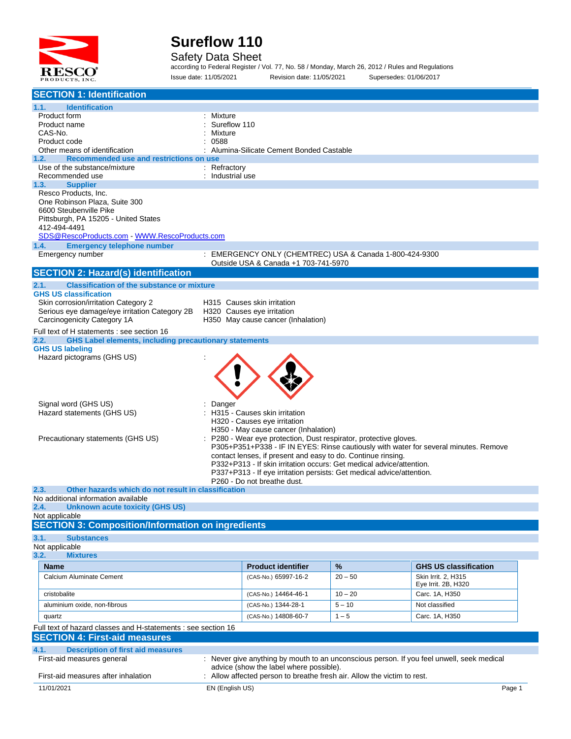

#### Safety Data Sheet

according to Federal Register / Vol. 77, No. 58 / Monday, March 26, 2012 / Rules and Regulations Issue date: 11/05/2021 Revision date: 11/05/2021 Supersedes: 01/06/2017

| <b>SECTION 1: Identification</b>                                                                |                                                                      |                           |                                                                         |                                                                                           |
|-------------------------------------------------------------------------------------------------|----------------------------------------------------------------------|---------------------------|-------------------------------------------------------------------------|-------------------------------------------------------------------------------------------|
| 1.1.<br><b>Identification</b>                                                                   |                                                                      |                           |                                                                         |                                                                                           |
| Product form                                                                                    | Mixture                                                              |                           |                                                                         |                                                                                           |
| Product name                                                                                    | Sureflow 110                                                         |                           |                                                                         |                                                                                           |
| CAS-No.<br>Product code                                                                         | Mixture<br>0588                                                      |                           |                                                                         |                                                                                           |
| Other means of identification                                                                   | Alumina-Silicate Cement Bonded Castable                              |                           |                                                                         |                                                                                           |
| 1.2.<br>Recommended use and restrictions on use                                                 |                                                                      |                           |                                                                         |                                                                                           |
| Use of the substance/mixture                                                                    | : Refractory                                                         |                           |                                                                         |                                                                                           |
| Recommended use                                                                                 | : Industrial use                                                     |                           |                                                                         |                                                                                           |
| 1.3.<br><b>Supplier</b><br>Resco Products, Inc.                                                 |                                                                      |                           |                                                                         |                                                                                           |
| One Robinson Plaza, Suite 300                                                                   |                                                                      |                           |                                                                         |                                                                                           |
| 6600 Steubenville Pike                                                                          |                                                                      |                           |                                                                         |                                                                                           |
| Pittsburgh, PA 15205 - United States                                                            |                                                                      |                           |                                                                         |                                                                                           |
| 412-494-4491                                                                                    |                                                                      |                           |                                                                         |                                                                                           |
| <b>Emergency telephone number</b><br>1.4.                                                       |                                                                      |                           |                                                                         |                                                                                           |
| Emergency number                                                                                |                                                                      |                           | : EMERGENCY ONLY (CHEMTREC) USA & Canada 1-800-424-9300                 |                                                                                           |
|                                                                                                 | Outside USA & Canada +1 703-741-5970                                 |                           |                                                                         |                                                                                           |
| <b>SECTION 2: Hazard(s) identification</b>                                                      |                                                                      |                           |                                                                         |                                                                                           |
| 2.1.<br><b>Classification of the substance or mixture</b>                                       |                                                                      |                           |                                                                         |                                                                                           |
| <b>GHS US classification</b>                                                                    |                                                                      |                           |                                                                         |                                                                                           |
| Skin corrosion/irritation Category 2                                                            | H315 Causes skin irritation                                          |                           |                                                                         |                                                                                           |
| Serious eye damage/eye irritation Category 2B                                                   | H320 Causes eye irritation                                           |                           |                                                                         |                                                                                           |
| Carcinogenicity Category 1A                                                                     | H350 May cause cancer (Inhalation)                                   |                           |                                                                         |                                                                                           |
| Full text of H statements : see section 16                                                      |                                                                      |                           |                                                                         |                                                                                           |
| <b>GHS Label elements, including precautionary statements</b><br>2.2.<br><b>GHS US labeling</b> |                                                                      |                           |                                                                         |                                                                                           |
| Hazard pictograms (GHS US)                                                                      |                                                                      |                           |                                                                         |                                                                                           |
|                                                                                                 |                                                                      |                           |                                                                         |                                                                                           |
|                                                                                                 |                                                                      |                           |                                                                         |                                                                                           |
|                                                                                                 |                                                                      |                           |                                                                         |                                                                                           |
|                                                                                                 |                                                                      |                           |                                                                         |                                                                                           |
| Signal word (GHS US)                                                                            | Danger                                                               |                           |                                                                         |                                                                                           |
| Hazard statements (GHS US)                                                                      | H315 - Causes skin irritation                                        |                           |                                                                         |                                                                                           |
|                                                                                                 | H320 - Causes eye irritation<br>H350 - May cause cancer (Inhalation) |                           |                                                                         |                                                                                           |
| Precautionary statements (GHS US)                                                               |                                                                      |                           | P280 - Wear eye protection, Dust respirator, protective gloves.         |                                                                                           |
|                                                                                                 |                                                                      |                           |                                                                         | P305+P351+P338 - IF IN EYES: Rinse cautiously with water for several minutes. Remove      |
|                                                                                                 |                                                                      |                           | contact lenses, if present and easy to do. Continue rinsing.            |                                                                                           |
|                                                                                                 |                                                                      |                           | P332+P313 - If skin irritation occurs: Get medical advice/attention.    |                                                                                           |
|                                                                                                 | P260 - Do not breathe dust.                                          |                           | P337+P313 - If eye irritation persists: Get medical advice/attention.   |                                                                                           |
| Other hazards which do not result in classification<br>2.3.                                     |                                                                      |                           |                                                                         |                                                                                           |
| No additional information available                                                             |                                                                      |                           |                                                                         |                                                                                           |
| 2.4. Unknown acute toxicity (GHS US)                                                            |                                                                      |                           |                                                                         |                                                                                           |
| Not applicable                                                                                  |                                                                      |                           |                                                                         |                                                                                           |
| <b>SECTION 3: Composition/Information on ingredients</b>                                        |                                                                      |                           |                                                                         |                                                                                           |
| 3.1.<br><b>Substances</b>                                                                       |                                                                      |                           |                                                                         |                                                                                           |
| Not applicable                                                                                  |                                                                      |                           |                                                                         |                                                                                           |
| 3.2.<br><b>Mixtures</b>                                                                         |                                                                      |                           |                                                                         |                                                                                           |
| <b>Name</b>                                                                                     |                                                                      | <b>Product identifier</b> | %                                                                       | <b>GHS US classification</b>                                                              |
| <b>Calcium Aluminate Cement</b>                                                                 |                                                                      | (CAS-No.) 65997-16-2      | $20 - 50$                                                               | Skin Irrit. 2, H315<br>Eye Irrit. 2B, H320                                                |
| cristobalite                                                                                    |                                                                      | (CAS-No.) 14464-46-1      | $10 - 20$                                                               | Carc. 1A, H350                                                                            |
| aluminium oxide, non-fibrous                                                                    |                                                                      | (CAS-No.) 1344-28-1       | $5 - 10$                                                                | Not classified                                                                            |
|                                                                                                 |                                                                      |                           |                                                                         |                                                                                           |
| quartz                                                                                          |                                                                      | (CAS-No.) 14808-60-7      | $1 - 5$                                                                 | Carc. 1A, H350                                                                            |
| Full text of hazard classes and H-statements : see section 16                                   |                                                                      |                           |                                                                         |                                                                                           |
| <b>SECTION 4: First-aid measures</b>                                                            |                                                                      |                           |                                                                         |                                                                                           |
| 4.1.<br><b>Description of first aid measures</b>                                                |                                                                      |                           |                                                                         |                                                                                           |
| First-aid measures general                                                                      | advice (show the label where possible).                              |                           |                                                                         | : Never give anything by mouth to an unconscious person. If you feel unwell, seek medical |
| First-aid measures after inhalation                                                             |                                                                      |                           | : Allow affected person to breathe fresh air. Allow the victim to rest. |                                                                                           |
| 11/01/2021                                                                                      | EN (English US)                                                      |                           |                                                                         |                                                                                           |
|                                                                                                 |                                                                      |                           |                                                                         | Page 1                                                                                    |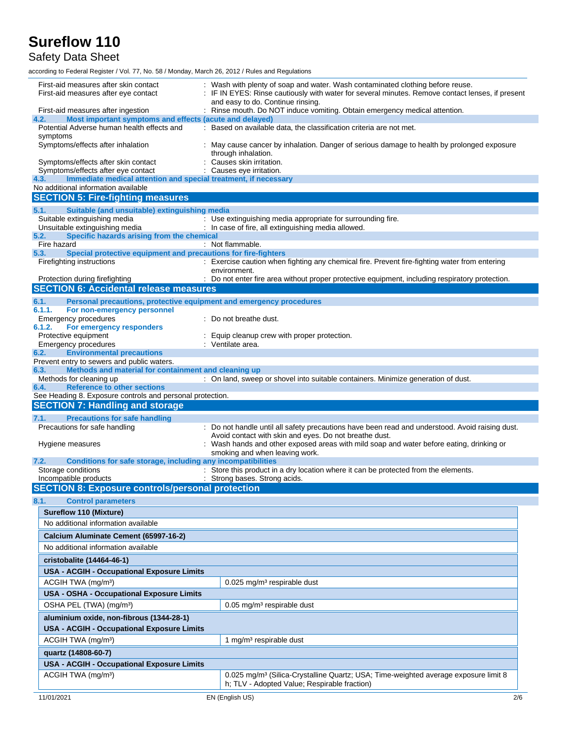Safety Data Sheet

| First-aid measures after skin contact<br>First-aid measures after eye contact                                        | Wash with plenty of soap and water. Wash contaminated clothing before reuse.<br>IF IN EYES: Rinse cautiously with water for several minutes. Remove contact lenses, if present<br>and easy to do. Continue rinsing. |
|----------------------------------------------------------------------------------------------------------------------|---------------------------------------------------------------------------------------------------------------------------------------------------------------------------------------------------------------------|
| First-aid measures after ingestion                                                                                   | : Rinse mouth. Do NOT induce vomiting. Obtain emergency medical attention.                                                                                                                                          |
| 4.2.<br>Most important symptoms and effects (acute and delayed)                                                      |                                                                                                                                                                                                                     |
| Potential Adverse human health effects and                                                                           | : Based on available data, the classification criteria are not met.                                                                                                                                                 |
| symptoms<br>Symptoms/effects after inhalation                                                                        | May cause cancer by inhalation. Danger of serious damage to health by prolonged exposure<br>through inhalation.                                                                                                     |
| Symptoms/effects after skin contact<br>Symptoms/effects after eye contact                                            | Causes skin irritation.<br>Causes eye irritation.                                                                                                                                                                   |
| Immediate medical attention and special treatment, if necessary<br>4.3.                                              |                                                                                                                                                                                                                     |
| No additional information available                                                                                  |                                                                                                                                                                                                                     |
| <b>SECTION 5: Fire-fighting measures</b>                                                                             |                                                                                                                                                                                                                     |
| 5.1.<br>Suitable (and unsuitable) extinguishing media                                                                |                                                                                                                                                                                                                     |
| Suitable extinguishing media                                                                                         | : Use extinguishing media appropriate for surrounding fire.                                                                                                                                                         |
| Unsuitable extinguishing media<br>Specific hazards arising from the chemical                                         | : In case of fire, all extinguishing media allowed.                                                                                                                                                                 |
| 5.2.<br>Fire hazard                                                                                                  | : Not flammable.                                                                                                                                                                                                    |
| Special protective equipment and precautions for fire-fighters<br>5.3.                                               |                                                                                                                                                                                                                     |
| Firefighting instructions                                                                                            | : Exercise caution when fighting any chemical fire. Prevent fire-fighting water from entering<br>environment.                                                                                                       |
| Protection during firefighting<br><b>SECTION 6: Accidental release measures</b>                                      | : Do not enter fire area without proper protective equipment, including respiratory protection.                                                                                                                     |
|                                                                                                                      |                                                                                                                                                                                                                     |
| Personal precautions, protective equipment and emergency procedures<br>6.1.<br>6.1.1.<br>For non-emergency personnel |                                                                                                                                                                                                                     |
| Emergency procedures                                                                                                 | : Do not breathe dust.                                                                                                                                                                                              |
| 6.1.2.<br>For emergency responders                                                                                   |                                                                                                                                                                                                                     |
| Protective equipment                                                                                                 | Equip cleanup crew with proper protection.<br>: Ventilate area.                                                                                                                                                     |
| Emergency procedures<br><b>Environmental precautions</b><br>6.2.                                                     |                                                                                                                                                                                                                     |
| Prevent entry to sewers and public waters.                                                                           |                                                                                                                                                                                                                     |
| Methods and material for containment and cleaning up<br>6.3.                                                         |                                                                                                                                                                                                                     |
| Methods for cleaning up<br><b>Reference to other sections</b><br>6.4.                                                | : On land, sweep or shovel into suitable containers. Minimize generation of dust.                                                                                                                                   |
|                                                                                                                      |                                                                                                                                                                                                                     |
| See Heading 8. Exposure controls and personal protection.                                                            |                                                                                                                                                                                                                     |
| <b>SECTION 7: Handling and storage</b>                                                                               |                                                                                                                                                                                                                     |
| <b>Precautions for safe handling</b><br>7.1.                                                                         |                                                                                                                                                                                                                     |
| Precautions for safe handling                                                                                        | : Do not handle until all safety precautions have been read and understood. Avoid raising dust.                                                                                                                     |
|                                                                                                                      | Avoid contact with skin and eyes. Do not breathe dust.                                                                                                                                                              |
| Hygiene measures                                                                                                     | Wash hands and other exposed areas with mild soap and water before eating, drinking or<br>smoking and when leaving work.                                                                                            |
| 7.2.<br>Conditions for safe storage, including any incompatibilities                                                 |                                                                                                                                                                                                                     |
| Storage conditions                                                                                                   | : Store this product in a dry location where it can be protected from the elements.                                                                                                                                 |
| Incompatible products                                                                                                | : Strong bases. Strong acids.                                                                                                                                                                                       |
| <b>SECTION 8: Exposure controls/personal protection</b>                                                              |                                                                                                                                                                                                                     |
| 8.1.<br><b>Control parameters</b>                                                                                    |                                                                                                                                                                                                                     |
| <b>Sureflow 110 (Mixture)</b>                                                                                        |                                                                                                                                                                                                                     |
| No additional information available                                                                                  |                                                                                                                                                                                                                     |
| Calcium Aluminate Cement (65997-16-2)                                                                                |                                                                                                                                                                                                                     |
| No additional information available                                                                                  |                                                                                                                                                                                                                     |
| cristobalite (14464-46-1)                                                                                            |                                                                                                                                                                                                                     |
| <b>USA - ACGIH - Occupational Exposure Limits</b>                                                                    |                                                                                                                                                                                                                     |
| ACGIH TWA (mg/m <sup>3</sup> )                                                                                       | 0.025 mg/m <sup>3</sup> respirable dust                                                                                                                                                                             |
| USA - OSHA - Occupational Exposure Limits                                                                            |                                                                                                                                                                                                                     |
| OSHA PEL (TWA) (mg/m <sup>3</sup> )                                                                                  | 0.05 mg/m <sup>3</sup> respirable dust                                                                                                                                                                              |
| aluminium oxide, non-fibrous (1344-28-1)                                                                             |                                                                                                                                                                                                                     |
| <b>USA - ACGIH - Occupational Exposure Limits</b>                                                                    |                                                                                                                                                                                                                     |
| ACGIH TWA (mg/m <sup>3</sup> )                                                                                       | 1 mg/m <sup>3</sup> respirable dust                                                                                                                                                                                 |
| quartz (14808-60-7)                                                                                                  |                                                                                                                                                                                                                     |
| <b>USA - ACGIH - Occupational Exposure Limits</b>                                                                    |                                                                                                                                                                                                                     |
| ACGIH TWA (mg/m <sup>3</sup> )                                                                                       | 0.025 mg/m <sup>3</sup> (Silica-Crystalline Quartz; USA; Time-weighted average exposure limit 8                                                                                                                     |
|                                                                                                                      | h; TLV - Adopted Value; Respirable fraction)                                                                                                                                                                        |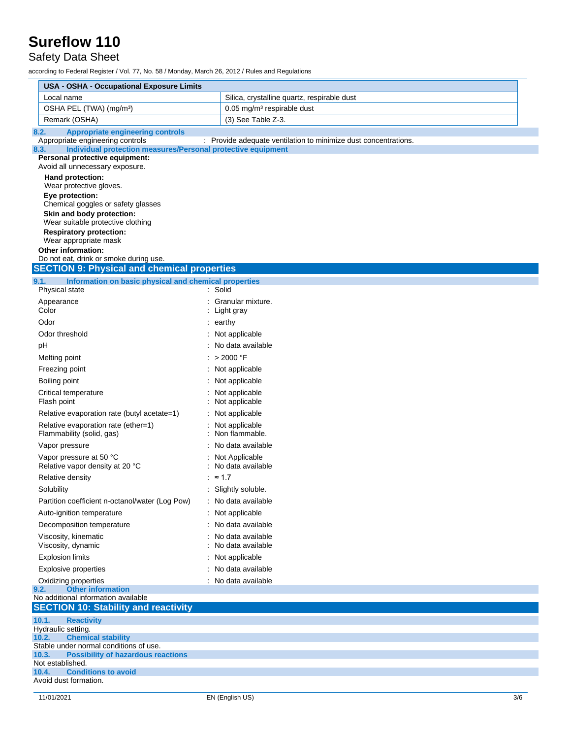#### Safety Data Sheet

| <b>USA - OSHA - Occupational Exposure Limits</b>                                                                                                                                                                                                                                                         |                                                                 |
|----------------------------------------------------------------------------------------------------------------------------------------------------------------------------------------------------------------------------------------------------------------------------------------------------------|-----------------------------------------------------------------|
| Local name                                                                                                                                                                                                                                                                                               | Silica, crystalline quartz, respirable dust                     |
| OSHA PEL (TWA) (mg/m <sup>3</sup> )                                                                                                                                                                                                                                                                      | $0.05$ mg/m <sup>3</sup> respirable dust                        |
| Remark (OSHA)                                                                                                                                                                                                                                                                                            | (3) See Table Z-3.                                              |
| <b>Appropriate engineering controls</b><br>8.2.                                                                                                                                                                                                                                                          |                                                                 |
| Appropriate engineering controls<br>Individual protection measures/Personal protective equipment<br>8.3.                                                                                                                                                                                                 | : Provide adequate ventilation to minimize dust concentrations. |
| Personal protective equipment:<br>Avoid all unnecessary exposure.                                                                                                                                                                                                                                        |                                                                 |
| Hand protection:<br>Wear protective gloves.<br>Eye protection:<br>Chemical goggles or safety glasses<br>Skin and body protection:<br>Wear suitable protective clothing<br><b>Respiratory protection:</b><br>Wear appropriate mask<br><b>Other information:</b><br>Do not eat, drink or smoke during use. |                                                                 |
| <b>SECTION 9: Physical and chemical properties</b>                                                                                                                                                                                                                                                       |                                                                 |
| 9.1.<br>Information on basic physical and chemical properties<br>Physical state                                                                                                                                                                                                                          | Solid                                                           |
| Appearance                                                                                                                                                                                                                                                                                               | Granular mixture.                                               |
| Color                                                                                                                                                                                                                                                                                                    | Light gray                                                      |
| Odor                                                                                                                                                                                                                                                                                                     | $:$ earthy                                                      |
| Odor threshold                                                                                                                                                                                                                                                                                           | Not applicable                                                  |
| pH                                                                                                                                                                                                                                                                                                       | No data available                                               |
| Melting point                                                                                                                                                                                                                                                                                            | : > 2000 °F                                                     |
| Freezing point                                                                                                                                                                                                                                                                                           | : Not applicable                                                |
| Boiling point                                                                                                                                                                                                                                                                                            | Not applicable                                                  |
| Critical temperature<br>Flash point                                                                                                                                                                                                                                                                      | Not applicable<br>Not applicable                                |
| Relative evaporation rate (butyl acetate=1)                                                                                                                                                                                                                                                              | Not applicable                                                  |
| Relative evaporation rate (ether=1)<br>Flammability (solid, gas)                                                                                                                                                                                                                                         | Not applicable<br>Non flammable.                                |
| Vapor pressure                                                                                                                                                                                                                                                                                           | No data available                                               |
| Vapor pressure at 50 °C<br>Relative vapor density at 20 °C                                                                                                                                                                                                                                               | Not Applicable<br>No data available                             |
| Relative density                                                                                                                                                                                                                                                                                         | : $\approx$ 1.7                                                 |
| Solubility                                                                                                                                                                                                                                                                                               | : Slightly soluble.                                             |
| Partition coefficient n-octanol/water (Log Pow)                                                                                                                                                                                                                                                          | No data available                                               |
| Auto-ignition temperature                                                                                                                                                                                                                                                                                | Not applicable                                                  |
| Decomposition temperature                                                                                                                                                                                                                                                                                | No data available                                               |
| Viscosity, kinematic<br>Viscosity, dynamic                                                                                                                                                                                                                                                               | No data available<br>No data available                          |
| <b>Explosion limits</b>                                                                                                                                                                                                                                                                                  | Not applicable                                                  |
| <b>Explosive properties</b>                                                                                                                                                                                                                                                                              | No data available                                               |
| Oxidizing properties                                                                                                                                                                                                                                                                                     | No data available                                               |
| 9.2.<br><b>Other information</b>                                                                                                                                                                                                                                                                         |                                                                 |
| No additional information available                                                                                                                                                                                                                                                                      |                                                                 |
| <b>SECTION 10: Stability and reactivity</b>                                                                                                                                                                                                                                                              |                                                                 |
| 10.1.<br><b>Reactivity</b><br>Hydraulic setting.                                                                                                                                                                                                                                                         |                                                                 |
| <b>Chemical stability</b><br>10.2.                                                                                                                                                                                                                                                                       |                                                                 |
| Stable under normal conditions of use.<br>10.3.<br><b>Possibility of hazardous reactions</b>                                                                                                                                                                                                             |                                                                 |
| Not established.                                                                                                                                                                                                                                                                                         |                                                                 |
| <b>Conditions to avoid</b><br>10.4.                                                                                                                                                                                                                                                                      |                                                                 |
| Avoid dust formation.                                                                                                                                                                                                                                                                                    |                                                                 |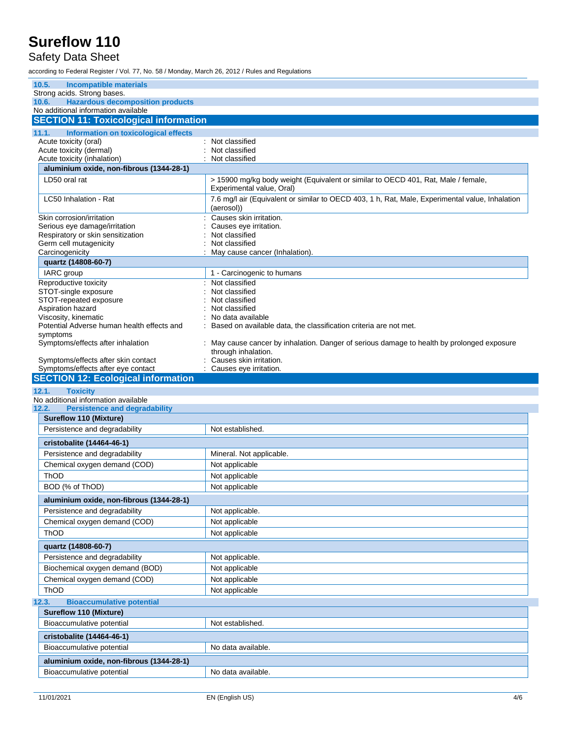### Safety Data Sheet

| 10.5.<br><b>Incompatible materials</b>                                                  |                                                                                                                |
|-----------------------------------------------------------------------------------------|----------------------------------------------------------------------------------------------------------------|
| Strong acids. Strong bases.                                                             |                                                                                                                |
| <b>Hazardous decomposition products</b><br>10.6.<br>No additional information available |                                                                                                                |
| <b>SECTION 11: Toxicological information</b>                                            |                                                                                                                |
|                                                                                         |                                                                                                                |
| Information on toxicological effects<br>11.1.<br>Acute toxicity (oral)                  | Not classified                                                                                                 |
| Acute toxicity (dermal)                                                                 | Not classified                                                                                                 |
| Acute toxicity (inhalation)                                                             | Not classified                                                                                                 |
| aluminium oxide, non-fibrous (1344-28-1)                                                |                                                                                                                |
| LD50 oral rat                                                                           | > 15900 mg/kg body weight (Equivalent or similar to OECD 401, Rat, Male / female,<br>Experimental value, Oral) |
| LC50 Inhalation - Rat                                                                   | 7.6 mg/l air (Equivalent or similar to OECD 403, 1 h, Rat, Male, Experimental value, Inhalation<br>(aerosol))  |
| Skin corrosion/irritation                                                               | Causes skin irritation.                                                                                        |
| Serious eye damage/irritation                                                           | Causes eye irritation.                                                                                         |
| Respiratory or skin sensitization<br>Germ cell mutagenicity                             | Not classified<br>Not classified                                                                               |
| Carcinogenicity                                                                         | May cause cancer (Inhalation).                                                                                 |
| quartz (14808-60-7)                                                                     |                                                                                                                |
| IARC group                                                                              | 1 - Carcinogenic to humans                                                                                     |
| Reproductive toxicity                                                                   | : Not classified                                                                                               |
| STOT-single exposure<br>STOT-repeated exposure                                          | Not classified<br>Not classified                                                                               |
| Aspiration hazard                                                                       | Not classified                                                                                                 |
| Viscosity, kinematic                                                                    | No data available                                                                                              |
| Potential Adverse human health effects and                                              | Based on available data, the classification criteria are not met.                                              |
| symptoms<br>Symptoms/effects after inhalation                                           | May cause cancer by inhalation. Danger of serious damage to health by prolonged exposure                       |
|                                                                                         | through inhalation.                                                                                            |
| Symptoms/effects after skin contact                                                     | Causes skin irritation.                                                                                        |
| Symptoms/effects after eye contact                                                      | : Causes eye irritation.                                                                                       |
|                                                                                         |                                                                                                                |
| <b>SECTION 12: Ecological information</b>                                               |                                                                                                                |
| 12.1.<br><b>Toxicity</b>                                                                |                                                                                                                |
| No additional information available                                                     |                                                                                                                |
| <b>Persistence and degradability</b>                                                    |                                                                                                                |
| <b>Sureflow 110 (Mixture)</b><br>Persistence and degradability                          | Not established.                                                                                               |
|                                                                                         |                                                                                                                |
| cristobalite (14464-46-1)                                                               |                                                                                                                |
| Persistence and degradability                                                           | Mineral. Not applicable.                                                                                       |
| Chemical oxygen demand (COD)                                                            | Not applicable                                                                                                 |
| ThOD                                                                                    | Not applicable                                                                                                 |
| BOD (% of ThOD)                                                                         | Not applicable                                                                                                 |
| aluminium oxide, non-fibrous (1344-28-1)                                                |                                                                                                                |
| Persistence and degradability                                                           | Not applicable.                                                                                                |
| Chemical oxygen demand (COD)                                                            | Not applicable                                                                                                 |
| 12.2.<br>ThOD                                                                           | Not applicable                                                                                                 |
| quartz (14808-60-7)                                                                     |                                                                                                                |
| Persistence and degradability                                                           | Not applicable.                                                                                                |
| Biochemical oxygen demand (BOD)                                                         | Not applicable                                                                                                 |
| Chemical oxygen demand (COD)                                                            | Not applicable                                                                                                 |
| ThOD                                                                                    | Not applicable                                                                                                 |
| <b>Bioaccumulative potential</b>                                                        |                                                                                                                |
| Sureflow 110 (Mixture)                                                                  |                                                                                                                |
| Bioaccumulative potential                                                               | Not established.                                                                                               |
| cristobalite (14464-46-1)                                                               |                                                                                                                |
| Bioaccumulative potential                                                               | No data available.                                                                                             |
| 12.3.<br>aluminium oxide, non-fibrous (1344-28-1)<br>Bioaccumulative potential          |                                                                                                                |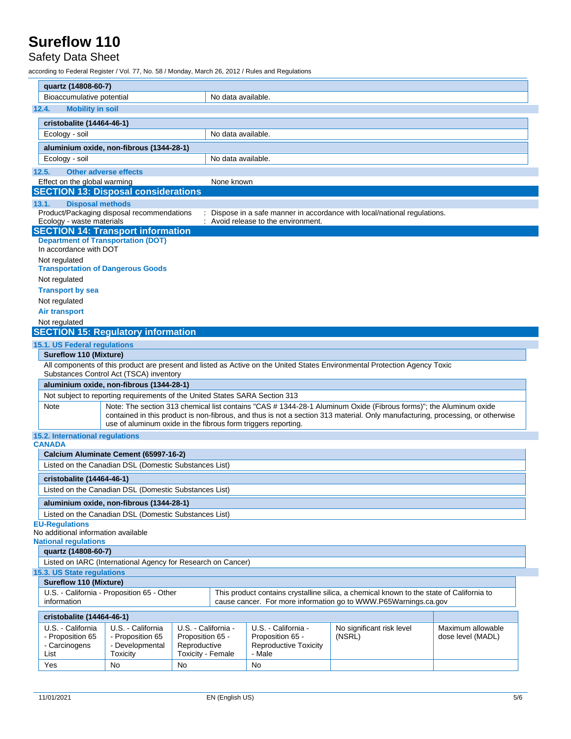#### Safety Data Sheet

| quartz (14808-60-7)                                                                                                                                                                                                                                                                                                          |                                                                             |                                  |                    |                                                  |                                                                                                                                                             |                   |
|------------------------------------------------------------------------------------------------------------------------------------------------------------------------------------------------------------------------------------------------------------------------------------------------------------------------------|-----------------------------------------------------------------------------|----------------------------------|--------------------|--------------------------------------------------|-------------------------------------------------------------------------------------------------------------------------------------------------------------|-------------------|
| Bioaccumulative potential                                                                                                                                                                                                                                                                                                    |                                                                             |                                  | No data available. |                                                  |                                                                                                                                                             |                   |
| <b>Mobility in soil</b><br>12.4.                                                                                                                                                                                                                                                                                             |                                                                             |                                  |                    |                                                  |                                                                                                                                                             |                   |
| cristobalite (14464-46-1)                                                                                                                                                                                                                                                                                                    |                                                                             |                                  |                    |                                                  |                                                                                                                                                             |                   |
| Ecology - soil                                                                                                                                                                                                                                                                                                               |                                                                             |                                  | No data available. |                                                  |                                                                                                                                                             |                   |
|                                                                                                                                                                                                                                                                                                                              | aluminium oxide, non-fibrous (1344-28-1)                                    |                                  |                    |                                                  |                                                                                                                                                             |                   |
| Ecology - soil                                                                                                                                                                                                                                                                                                               |                                                                             |                                  | No data available. |                                                  |                                                                                                                                                             |                   |
| 12.5.                                                                                                                                                                                                                                                                                                                        | <b>Other adverse effects</b>                                                |                                  |                    |                                                  |                                                                                                                                                             |                   |
| Effect on the global warming                                                                                                                                                                                                                                                                                                 |                                                                             |                                  | None known         |                                                  |                                                                                                                                                             |                   |
|                                                                                                                                                                                                                                                                                                                              | <b>SECTION 13: Disposal considerations</b>                                  |                                  |                    |                                                  |                                                                                                                                                             |                   |
| 13.1.                                                                                                                                                                                                                                                                                                                        | <b>Disposal methods</b>                                                     |                                  |                    |                                                  | Dispose in a safe manner in accordance with local/national regulations.                                                                                     |                   |
| Ecology - waste materials                                                                                                                                                                                                                                                                                                    | Product/Packaging disposal recommendations                                  |                                  |                    | : Avoid release to the environment.              |                                                                                                                                                             |                   |
|                                                                                                                                                                                                                                                                                                                              | <b>SECTION 14: Transport information</b>                                    |                                  |                    |                                                  |                                                                                                                                                             |                   |
| In accordance with DOT                                                                                                                                                                                                                                                                                                       | <b>Department of Transportation (DOT)</b>                                   |                                  |                    |                                                  |                                                                                                                                                             |                   |
| Not regulated                                                                                                                                                                                                                                                                                                                | <b>Transportation of Dangerous Goods</b>                                    |                                  |                    |                                                  |                                                                                                                                                             |                   |
| Not regulated                                                                                                                                                                                                                                                                                                                |                                                                             |                                  |                    |                                                  |                                                                                                                                                             |                   |
| <b>Transport by sea</b>                                                                                                                                                                                                                                                                                                      |                                                                             |                                  |                    |                                                  |                                                                                                                                                             |                   |
| Not regulated                                                                                                                                                                                                                                                                                                                |                                                                             |                                  |                    |                                                  |                                                                                                                                                             |                   |
| <b>Air transport</b>                                                                                                                                                                                                                                                                                                         |                                                                             |                                  |                    |                                                  |                                                                                                                                                             |                   |
| Not regulated                                                                                                                                                                                                                                                                                                                | <b>SECTION 15: Regulatory information</b>                                   |                                  |                    |                                                  |                                                                                                                                                             |                   |
|                                                                                                                                                                                                                                                                                                                              |                                                                             |                                  |                    |                                                  |                                                                                                                                                             |                   |
| <b>15.1. US Federal regulations</b><br><b>Sureflow 110 (Mixture)</b>                                                                                                                                                                                                                                                         |                                                                             |                                  |                    |                                                  |                                                                                                                                                             |                   |
|                                                                                                                                                                                                                                                                                                                              |                                                                             |                                  |                    |                                                  | All components of this product are present and listed as Active on the United States Environmental Protection Agency Toxic                                  |                   |
|                                                                                                                                                                                                                                                                                                                              | Substances Control Act (TSCA) inventory                                     |                                  |                    |                                                  |                                                                                                                                                             |                   |
|                                                                                                                                                                                                                                                                                                                              | aluminium oxide, non-fibrous (1344-28-1)                                    |                                  |                    |                                                  |                                                                                                                                                             |                   |
|                                                                                                                                                                                                                                                                                                                              | Not subject to reporting requirements of the United States SARA Section 313 |                                  |                    |                                                  |                                                                                                                                                             |                   |
| Note: The section 313 chemical list contains "CAS # 1344-28-1 Aluminum Oxide (Fibrous forms)"; the Aluminum oxide<br>Note<br>contained in this product is non-fibrous, and thus is not a section 313 material. Only manufacturing, processing, or otherwise<br>use of aluminum oxide in the fibrous form triggers reporting. |                                                                             |                                  |                    |                                                  |                                                                                                                                                             |                   |
| 15.2. International regulations                                                                                                                                                                                                                                                                                              |                                                                             |                                  |                    |                                                  |                                                                                                                                                             |                   |
| <b>CANADA</b>                                                                                                                                                                                                                                                                                                                |                                                                             |                                  |                    |                                                  |                                                                                                                                                             |                   |
|                                                                                                                                                                                                                                                                                                                              | Calcium Aluminate Cement (65997-16-2)                                       |                                  |                    |                                                  |                                                                                                                                                             |                   |
|                                                                                                                                                                                                                                                                                                                              | Listed on the Canadian DSL (Domestic Substances List)                       |                                  |                    |                                                  |                                                                                                                                                             |                   |
| cristobalite (14464-46-1)                                                                                                                                                                                                                                                                                                    |                                                                             |                                  |                    |                                                  |                                                                                                                                                             |                   |
|                                                                                                                                                                                                                                                                                                                              | Listed on the Canadian DSL (Domestic Substances List)                       |                                  |                    |                                                  |                                                                                                                                                             |                   |
|                                                                                                                                                                                                                                                                                                                              | aluminium oxide, non-fibrous (1344-28-1)                                    |                                  |                    |                                                  |                                                                                                                                                             |                   |
|                                                                                                                                                                                                                                                                                                                              | Listed on the Canadian DSL (Domestic Substances List)                       |                                  |                    |                                                  |                                                                                                                                                             |                   |
| <b>EU-Regulations</b><br>No additional information available                                                                                                                                                                                                                                                                 |                                                                             |                                  |                    |                                                  |                                                                                                                                                             |                   |
| <b>National regulations</b>                                                                                                                                                                                                                                                                                                  |                                                                             |                                  |                    |                                                  |                                                                                                                                                             |                   |
| quartz (14808-60-7)                                                                                                                                                                                                                                                                                                          |                                                                             |                                  |                    |                                                  |                                                                                                                                                             |                   |
|                                                                                                                                                                                                                                                                                                                              | Listed on IARC (International Agency for Research on Cancer)                |                                  |                    |                                                  |                                                                                                                                                             |                   |
| 15.3. US State regulations                                                                                                                                                                                                                                                                                                   |                                                                             |                                  |                    |                                                  |                                                                                                                                                             |                   |
| <b>Sureflow 110 (Mixture)</b>                                                                                                                                                                                                                                                                                                |                                                                             |                                  |                    |                                                  |                                                                                                                                                             |                   |
| information                                                                                                                                                                                                                                                                                                                  | U.S. California - Proposition 65 - Other                                    |                                  |                    |                                                  | This product contains crystalline silica, a chemical known to the state of California to<br>cause cancer. For more information go to WWW.P65Warnings.ca.gov |                   |
|                                                                                                                                                                                                                                                                                                                              |                                                                             |                                  |                    |                                                  |                                                                                                                                                             |                   |
| cristobalite (14464-46-1)                                                                                                                                                                                                                                                                                                    |                                                                             |                                  |                    |                                                  |                                                                                                                                                             |                   |
| U.S. - California                                                                                                                                                                                                                                                                                                            | U.S. - California                                                           | U.S. - California -              |                    | U.S. - California -                              | No significant risk level                                                                                                                                   | Maximum allowable |
| - Proposition 65<br>- Carcinogens                                                                                                                                                                                                                                                                                            | - Proposition 65<br>- Developmental                                         | Proposition 65 -<br>Reproductive |                    | Proposition 65 -<br><b>Reproductive Toxicity</b> | (NSRL)                                                                                                                                                      | dose level (MADL) |
| List                                                                                                                                                                                                                                                                                                                         | Toxicity                                                                    | Toxicity - Female                |                    | - Male                                           |                                                                                                                                                             |                   |
| Yes                                                                                                                                                                                                                                                                                                                          | No                                                                          | No                               |                    | No                                               |                                                                                                                                                             |                   |
|                                                                                                                                                                                                                                                                                                                              |                                                                             |                                  |                    |                                                  |                                                                                                                                                             |                   |